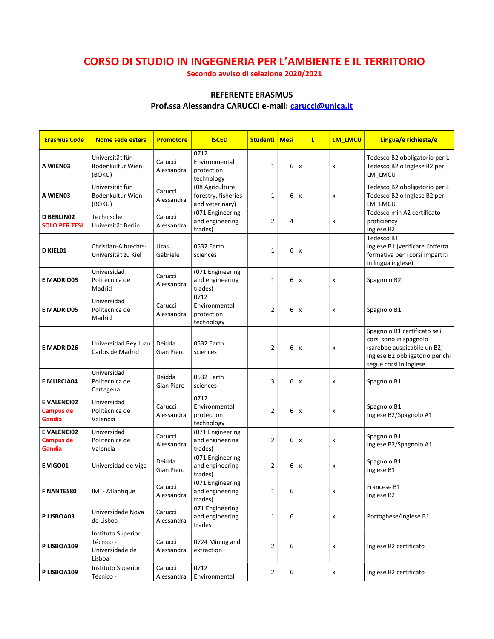# CORSO DI STUDIO IN INGEGNERIA PER L'AMBIENTE E IL TERRITORIO

Secondo avviso di selezione 2020/2021

### REFERENTE ERASMUS

## Prof.ssa Alessandra CARUCCI e-mail: carucci@unica.it

| <b>Erasmus Code</b>                              | Nome sede estera                                                    | <b>Promotore</b>      | <b>ISCED</b>                                               | <b>Studenti   Mesi</b> |   | L | <b>LM LMCU</b> | Lingua/e richiesta/e                                                                                                                               |
|--------------------------------------------------|---------------------------------------------------------------------|-----------------------|------------------------------------------------------------|------------------------|---|---|----------------|----------------------------------------------------------------------------------------------------------------------------------------------------|
| A WIEN03                                         | Universität für<br>Bodenkultur Wien<br>(BOKU)                       | Carucci<br>Alessandra | 0712<br>Environmental<br>protection<br>technology          | 1                      | 6 | x | x              | Tedesco B2 obbligatorio per L<br>Tedesco B2 o Inglese B2 per<br>LM_LMCU                                                                            |
| A WIEN03                                         | Universität für<br>Bodenkultur Wien<br>(BOKU)                       | Carucci<br>Alessandra | (08 Agriculture,<br>forestry, fisheries<br>and veterinary) | 1                      | 6 | x | x              | Tedesco B2 obbligatorio per L<br>Tedesco B2 o Inglese B2 per<br>LM LMCU                                                                            |
| <b>D BERLINO2</b><br><b>SOLO PER TESI</b>        | Technische<br>Universität Berlin                                    | Carucci<br>Alessandra | (071 Engineering<br>and engineering<br>trades)             | $\overline{2}$         | 4 |   | x              | Tedesco min A2 certificato<br>proficiency<br>Inglese B2                                                                                            |
| D KIEL01                                         | Christian-Albrechts-<br>Universität zu Kiel                         | Uras<br>Gabriele      | 0532 Earth<br>sciences                                     | 1                      | 6 | x |                | Tedesco B1<br>Inglese B1 (verificare l'offerta<br>formativa per i corsi impartiti<br>in lingua inglese)                                            |
| <b>E MADRID05</b>                                | Universidad<br>Politecnica de<br>Madrid                             | Carucci<br>Alessandra | (071 Engineering<br>and engineering<br>trades)             | 1                      | 6 | x | x              | Spagnolo B2                                                                                                                                        |
| <b>E MADRID05</b>                                | Universidad<br>Politecnica de<br>Madrid                             | Carucci<br>Alessandra | 0712<br>Environmental<br>protection<br>technology          | $\overline{2}$         | 6 | x | x              | Spagnolo B1                                                                                                                                        |
| <b>E MADRID26</b>                                | Universidad Rey Juan<br>Carlos de Madrid                            | Deidda<br>Gian Piero  | 0532 Earth<br>sciences                                     | 2                      | 6 | x | x              | Spagnolo B1 certificato se i<br>corsi sono in spagnolo<br>(sarebbe auspicabile un B2)<br>Inglese B2 obbligatorio per chi<br>segue corsi in inglese |
| <b>E MURCIA04</b>                                | Universidad<br>Politecnica de<br>Cartagena                          | Deidda<br>Gian Piero  | 0532 Earth<br>sciences                                     | 3                      | 6 | x | x              | Spagnolo B1                                                                                                                                        |
| <b>E VALENCIO2</b><br><b>Campus de</b><br>Gandia | Universidad<br>Politècnica de<br>Valencia                           | Carucci<br>Alessandra | 0712<br>Environmental<br>protection<br>technology          | $\overline{2}$         | 6 | x | x              | Spagnolo B1<br>Inglese B2/Spagnolo A1                                                                                                              |
| <b>E VALENCIO2</b><br><b>Campus de</b><br>Gandia | Universidad<br>Politècnica de<br>Valencia                           | Carucci<br>Alessandra | (071 Engineering<br>and engineering<br>trades)             | $\overline{2}$         | 6 | X | x              | Spagnolo B1<br>Inglese B2/Spagnolo A1                                                                                                              |
| E VIGO01                                         | Universidad de Vigo                                                 | Deidda<br>Gian Piero  | (071 Engineering<br>and engineering<br>trades)             | $\overline{2}$         | 6 | x | x              | Spagnolo B1<br>Inglese B1                                                                                                                          |
| <b>F NANTES80</b>                                | <b>IMT-Atlantique</b>                                               | Carucci<br>Alessandra | (071 Engineering<br>and engineering<br>trades)             | 1                      | 6 |   | x              | Francese B1<br>Inglese B2                                                                                                                          |
| P LISBOA03                                       | Universidade Nova<br>de Lisboa                                      | Carucci<br>Alessandra | 071 Engineering<br>and engineering<br>trades               | $\mathbf 1$            | 6 |   | x              | Portoghese/Inglese B1                                                                                                                              |
| P LISBOA109                                      | <b>Instituto Superior</b><br>Técnico -<br>Universidade de<br>Lisboa | Carucci<br>Alessandra | 0724 Mining and<br>extraction                              | $\overline{2}$         | 6 |   | x              | Inglese B2 certificato                                                                                                                             |
| P LISBOA109                                      | <b>Instituto Superior</b><br>Técnico -                              | Carucci<br>Alessandra | 0712<br>Environmental                                      | $\overline{2}$         | 6 |   | x              | Inglese B2 certificato                                                                                                                             |